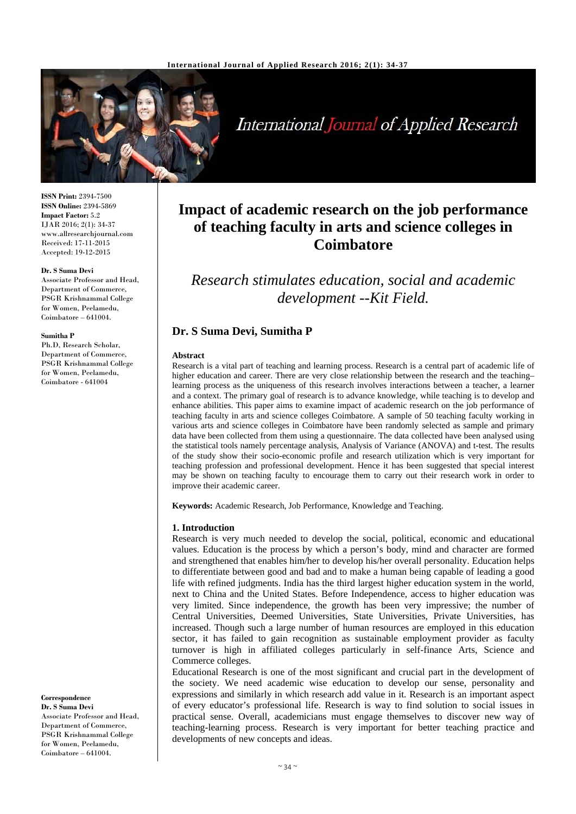

# International Journal of Applied Research

**ISSN Print:** 2394-7500 **ISSN Online:** 2394-5869 **Impact Factor:** 5.2 IJAR 2016; 2(1): 34-37 www.allresearchjournal.com Received: 17-11-2015 Accepted: 19-12-2015

#### **Dr. S Suma Devi**

Associate Professor and Head, Department of Commerce, PSGR Krishnammal College for Women, Peelamedu, Coimbatore – 641004.

#### **Sumitha P**

Ph.D, Research Scholar, Department of Commerce, PSGR Krishnammal College for Women, Peelamedu, Coimbatore - 641004

**Correspondence**

**Dr. S Suma Devi**  Associate Professor and Head, Department of Commerce, PSGR Krishnammal College for Women, Peelamedu, Coimbatore – 641004.

# **Impact of academic research on the job performance of teaching faculty in arts and science colleges in Coimbatore**

*Research stimulates education, social and academic development --Kit Field.* 

# **Dr. S Suma Devi, Sumitha P**

#### **Abstract**

Research is a vital part of teaching and learning process. Research is a central part of academic life of higher education and career. There are very close relationship between the research and the teaching– learning process as the uniqueness of this research involves interactions between a teacher, a learner and a context. The primary goal of research is to advance knowledge, while teaching is to develop and enhance abilities. This paper aims to examine impact of academic research on the job performance of teaching faculty in arts and science colleges Coimbatore. A sample of 50 teaching faculty working in various arts and science colleges in Coimbatore have been randomly selected as sample and primary data have been collected from them using a questionnaire. The data collected have been analysed using the statistical tools namely percentage analysis, Analysis of Variance (ANOVA) and t-test. The results of the study show their socio-economic profile and research utilization which is very important for teaching profession and professional development. Hence it has been suggested that special interest may be shown on teaching faculty to encourage them to carry out their research work in order to improve their academic career.

**Keywords:** Academic Research, Job Performance, Knowledge and Teaching.

### **1. Introduction**

Research is very much needed to develop the social, political, economic and educational values. Education is the process by which a person's body, mind and character are formed and strengthened that enables him/her to develop his/her overall personality. Education helps to differentiate between good and bad and to make a human being capable of leading a good life with refined judgments. India has the third largest higher education system in the world, next to China and the United States. Before Independence, access to higher education was very limited. Since independence, the growth has been very impressive; the number of Central Universities, Deemed Universities, State Universities, Private Universities, has increased. Though such a large number of human resources are employed in this education sector, it has failed to gain recognition as sustainable employment provider as faculty turnover is high in affiliated colleges particularly in self-finance Arts, Science and Commerce colleges.

Educational Research is one of the most significant and crucial part in the development of the society. We need academic wise education to develop our sense, personality and expressions and similarly in which research add value in it. Research is an important aspect of every educator's professional life. Research is way to find solution to social issues in practical sense. Overall, academicians must engage themselves to discover new way of teaching-learning process. Research is very important for better teaching practice and developments of new concepts and ideas.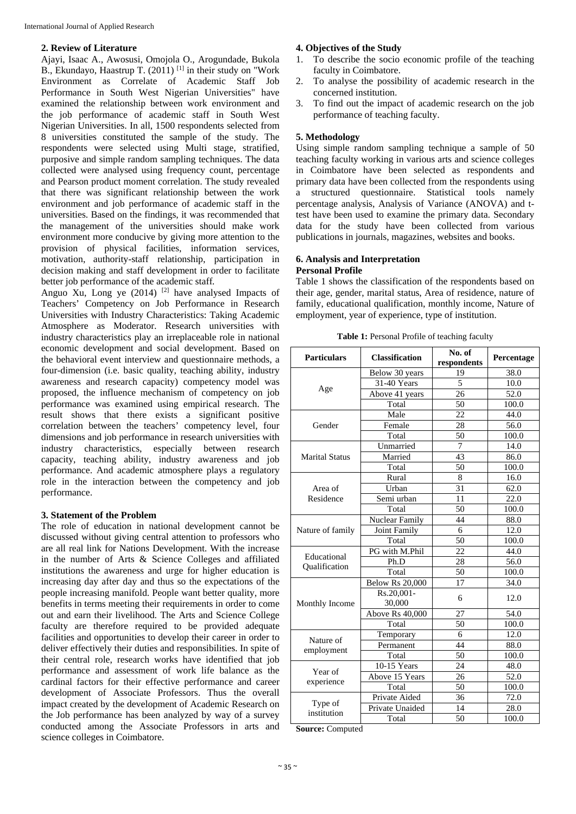### **2. Review of Literature**

Ajayi, Isaac A., Awosusi, Omojola O., Arogundade, Bukola B., Ekundayo, Haastrup T.  $(2011)$ <sup>[1]</sup> in their study on "Work" Environment as Correlate of Academic Staff Job Performance in South West Nigerian Universities" have examined the relationship between work environment and the job performance of academic staff in South West Nigerian Universities. In all, 1500 respondents selected from 8 universities constituted the sample of the study. The respondents were selected using Multi stage, stratified, purposive and simple random sampling techniques. The data collected were analysed using frequency count, percentage and Pearson product moment correlation. The study revealed that there was significant relationship between the work environment and job performance of academic staff in the universities. Based on the findings, it was recommended that the management of the universities should make work environment more conducive by giving more attention to the provision of physical facilities, information services, motivation, authority-staff relationship, participation in decision making and staff development in order to facilitate better job performance of the academic staff*.*

Anguo Xu, Long ye  $(2014)$  <sup>[2]</sup> have analysed Impacts of Teachers' Competency on Job Performance in Research Universities with Industry Characteristics: Taking Academic Atmosphere as Moderator. Research universities with industry characteristics play an irreplaceable role in national economic development and social development. Based on the behavioral event interview and questionnaire methods, a four-dimension (i.e. basic quality, teaching ability, industry awareness and research capacity) competency model was proposed, the influence mechanism of competency on job performance was examined using empirical research. The result shows that there exists a significant positive correlation between the teachers' competency level, four dimensions and job performance in research universities with industry characteristics, especially between research capacity, teaching ability, industry awareness and job performance. And academic atmosphere plays a regulatory role in the interaction between the competency and job performance.

# **3. Statement of the Problem**

The role of education in national development cannot be discussed without giving central attention to professors who are all real link for Nations Development. With the increase in the number of Arts & Science Colleges and affiliated institutions the awareness and urge for higher education is increasing day after day and thus so the expectations of the people increasing manifold. People want better quality, more benefits in terms meeting their requirements in order to come out and earn their livelihood. The Arts and Science College faculty are therefore required to be provided adequate facilities and opportunities to develop their career in order to deliver effectively their duties and responsibilities. In spite of their central role, research works have identified that job performance and assessment of work life balance as the cardinal factors for their effective performance and career development of Associate Professors. Thus the overall impact created by the development of Academic Research on the Job performance has been analyzed by way of a survey conducted among the Associate Professors in arts and science colleges in Coimbatore.

# **4. Objectives of the Study**

- 1. To describe the socio economic profile of the teaching faculty in Coimbatore.
- 2. To analyse the possibility of academic research in the concerned institution.
- 3. To find out the impact of academic research on the job performance of teaching faculty.

# **5. Methodology**

Using simple random sampling technique a sample of 50 teaching faculty working in various arts and science colleges in Coimbatore have been selected as respondents and primary data have been collected from the respondents using a structured questionnaire. Statistical tools namely percentage analysis, Analysis of Variance (ANOVA) and ttest have been used to examine the primary data. Secondary data for the study have been collected from various publications in journals, magazines, websites and books.

# **6. Analysis and Interpretation Personal Profile**

Table 1 shows the classification of the respondents based on their age, gender, marital status, Area of residence, nature of family, educational qualification, monthly income, Nature of employment, year of experience, type of institution.

| Table 1: Personal Profile of teaching faculty |  |
|-----------------------------------------------|--|
|-----------------------------------------------|--|

| <b>Particulars</b>    | <b>Classification</b>  | No. of<br>respondents | Percentage |  |
|-----------------------|------------------------|-----------------------|------------|--|
|                       | Below 30 years         | 19                    | 38.0       |  |
| Age                   | 31-40 Years            | 5                     | 10.0       |  |
|                       | Above 41 years         | 26                    | 52.0       |  |
|                       | Total                  | 50                    | 100.0      |  |
|                       | Male                   | 22                    | 44.0       |  |
| Gender                | Female                 | 28                    | 56.0       |  |
|                       | Total                  | 50                    | 100.0      |  |
|                       | Unmarried              | 7                     | 14.0       |  |
| <b>Marital Status</b> | Married                | 43                    | 86.0       |  |
|                       | Total                  | 50                    | 100.0      |  |
|                       | Rural                  | 8                     | 16.0       |  |
| Area of               | Urban                  | 31                    | 62.0       |  |
| Residence             | Semi urban             | 11                    | 22.0       |  |
|                       | Total                  | 50                    | 100.0      |  |
|                       | Nuclear Family         | 44                    | 88.0       |  |
| Nature of family      | Joint Family           | 6                     | 12.0       |  |
|                       | Total                  | 50                    | 100.0      |  |
| Educational           | PG with M.Phil         | 22                    | 44.0       |  |
| Qualification         | Ph.D                   | 28                    | 56.0       |  |
|                       | Total                  | 50                    | 100.0      |  |
|                       | <b>Below Rs 20,000</b> | 17                    | 34.0       |  |
| Monthly Income        | Rs.20,001-<br>30,000   | 6                     | 12.0       |  |
|                       | Above Rs 40,000        | 27                    | 54.0       |  |
|                       | Total                  | 50                    | 100.0      |  |
| Nature of             | Temporary              | 6                     | 12.0       |  |
| employment            | Permanent              | 44                    | 88.0       |  |
|                       | Total                  | 50                    | 100.0      |  |
| Year of               | 10-15 Years            | 24                    | 48.0       |  |
| experience            | Above 15 Years         | 26                    | 52.0       |  |
|                       | Total                  | 50                    | 100.0      |  |
| Type of               | Private Aided          | 36                    | 72.0       |  |
| institution           | Private Unaided        | 14                    | 28.0       |  |
|                       | Total                  | 50                    | 100.0      |  |

**Source:** Computed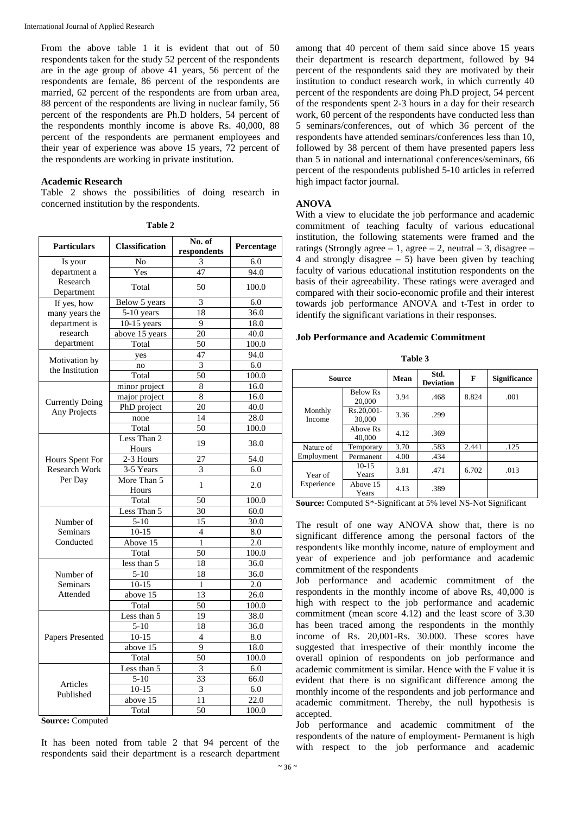From the above table 1 it is evident that out of 50 respondents taken for the study 52 percent of the respondents are in the age group of above 41 years, 56 percent of the respondents are female, 86 percent of the respondents are married, 62 percent of the respondents are from urban area, 88 percent of the respondents are living in nuclear family, 56 percent of the respondents are Ph.D holders, 54 percent of the respondents monthly income is above Rs. 40,000, 88 percent of the respondents are permanent employees and their year of experience was above 15 years, 72 percent of the respondents are working in private institution.

#### **Academic Research**

Table 2 shows the possibilities of doing research in concerned institution by the respondents.

| No. of                           |                       |                 |                   |  |  |  |
|----------------------------------|-----------------------|-----------------|-------------------|--|--|--|
| <b>Particulars</b>               | <b>Classification</b> | respondents     | Percentage        |  |  |  |
| Is your                          | No                    | 3               | 6.0               |  |  |  |
| department a                     | Yes                   | 47              | 94.0              |  |  |  |
| Research<br>Department           | Total                 | 50              | 100.0             |  |  |  |
| If yes, how                      | Below 5 years         | 3               | 6.0               |  |  |  |
| many years the                   | $5-10$ years          | 18              | 36.0              |  |  |  |
| department is                    | $10-15$ years         | 9               | 18.0              |  |  |  |
| research                         | above 15 years        | 20              | 40.0              |  |  |  |
| department                       | Total                 | 50              | 100.0             |  |  |  |
|                                  | yes                   | 47              | 94.0              |  |  |  |
| Motivation by<br>the Institution | no                    | 3               | 6.0               |  |  |  |
|                                  | Total                 | 50              | 100.0             |  |  |  |
|                                  | minor project         | 8               | 16.0              |  |  |  |
|                                  | major project         | $\overline{8}$  | 16.0              |  |  |  |
| <b>Currently Doing</b>           | PhD project           | 20              | 40.0              |  |  |  |
| Any Projects                     | none                  | 14              | 28.0              |  |  |  |
|                                  | Total                 | 50              | 100.0             |  |  |  |
|                                  | Less Than 2           | 19              | 38.0              |  |  |  |
|                                  | Hours<br>$2-3$ Hours  | 27              |                   |  |  |  |
| Hours Spent For<br>Research Work | 3-5 Years             |                 | 54.0              |  |  |  |
|                                  |                       | 3               | 6.0<br>2.0        |  |  |  |
| Per Day                          | More Than 5<br>Hours  | 1               |                   |  |  |  |
|                                  | Total                 | 50              | 100.0             |  |  |  |
|                                  | Less Than 5           | 30              | 60.0              |  |  |  |
| Number of                        | $5-10$                | 15              | 30.0              |  |  |  |
| Seminars                         | $10 - 15$             | $\overline{4}$  | 8.0               |  |  |  |
| Conducted                        | Above 15              | $\mathbf{1}$    | $\overline{2.0}$  |  |  |  |
|                                  | Total                 | 50              | 100.0             |  |  |  |
|                                  | less than 5           | 18              | 36.0              |  |  |  |
| Number of                        | $5-10$                | 18              | 36.0              |  |  |  |
| Seminars                         | $10 - 15$             | $\mathbf{1}$    | 2.0               |  |  |  |
| Attended                         | above 15              | 13              | 26.0              |  |  |  |
|                                  | Total                 | $\overline{50}$ | 100.0             |  |  |  |
|                                  | Less than 5           | 19              | 38.0              |  |  |  |
|                                  | $5 - 10$              | 18              | 36.0              |  |  |  |
| Papers Presented                 | $10 - 15$             | $\overline{4}$  | 8.0               |  |  |  |
|                                  | above 15              | 9               | 18.0              |  |  |  |
|                                  | Total                 | 50              | 100.0             |  |  |  |
|                                  | Less than 5           | 3               | 6.0               |  |  |  |
|                                  | $5 - 10$              | 33              | 66.0              |  |  |  |
| Articles<br>Published            | $10-15$               | $\overline{3}$  | 6.0               |  |  |  |
|                                  | above 15              | 11              | $\overline{22.0}$ |  |  |  |
|                                  | Total                 | 50              | 100.0             |  |  |  |

**Table 2**

**Source:** Computed

It has been noted from table 2 that 94 percent of the respondents said their department is a research department among that 40 percent of them said since above 15 years their department is research department, followed by 94 percent of the respondents said they are motivated by their institution to conduct research work, in which currently 40 percent of the respondents are doing Ph.D project, 54 percent of the respondents spent 2-3 hours in a day for their research work, 60 percent of the respondents have conducted less than 5 seminars/conferences, out of which 36 percent of the respondents have attended seminars/conferences less than 10, followed by 38 percent of them have presented papers less than 5 in national and international conferences/seminars, 66 percent of the respondents published 5-10 articles in referred high impact factor journal.

#### **ANOVA**

With a view to elucidate the job performance and academic commitment of teaching faculty of various educational institution, the following statements were framed and the ratings (Strongly agree  $-1$ , agree  $-2$ , neutral  $-3$ , disagree  $-$ 4 and strongly disagree  $-5$ ) have been given by teaching faculty of various educational institution respondents on the basis of their agreeability. These ratings were averaged and compared with their socio-economic profile and their interest towards job performance ANOVA and t-Test in order to identify the significant variations in their responses.

#### **Job Performance and Academic Commitment**

**Table 3** 

|                   |                           |      | Std.             |       |                     |  |
|-------------------|---------------------------|------|------------------|-------|---------------------|--|
| <b>Source</b>     |                           | Mean | <b>Deviation</b> | F     | <b>Significance</b> |  |
|                   | <b>Below Rs</b><br>20,000 | 3.94 | .468             | 8.824 | .001                |  |
| Monthly<br>Income | Rs.20.001-<br>30,000      | 3.36 | .299             |       |                     |  |
|                   | Above Rs<br>40,000        | 4.12 | .369             |       |                     |  |
| Nature of         | Temporary                 | 3.70 | .583             | 2.441 | .125                |  |
| Employment        | Permanent                 | 4.00 | .434             |       |                     |  |
| Year of           | $10 - 15$<br>Years        | 3.81 | .471             | 6.702 | .013                |  |
| Experience        | Above 15<br>Years         | 4.13 | .389             |       |                     |  |

**Source:** Computed S\*-Significant at 5% level NS-Not Significant

The result of one way ANOVA show that, there is no significant difference among the personal factors of the respondents like monthly income, nature of employment and year of experience and job performance and academic commitment of the respondents

Job performance and academic commitment of the respondents in the monthly income of above Rs, 40,000 is high with respect to the job performance and academic commitment (mean score 4.12) and the least score of 3.30 has been traced among the respondents in the monthly income of Rs. 20,001-Rs. 30.000. These scores have suggested that irrespective of their monthly income the overall opinion of respondents on job performance and academic commitment is similar. Hence with the F value it is evident that there is no significant difference among the monthly income of the respondents and job performance and academic commitment. Thereby, the null hypothesis is accepted.

Job performance and academic commitment of the respondents of the nature of employment- Permanent is high with respect to the job performance and academic